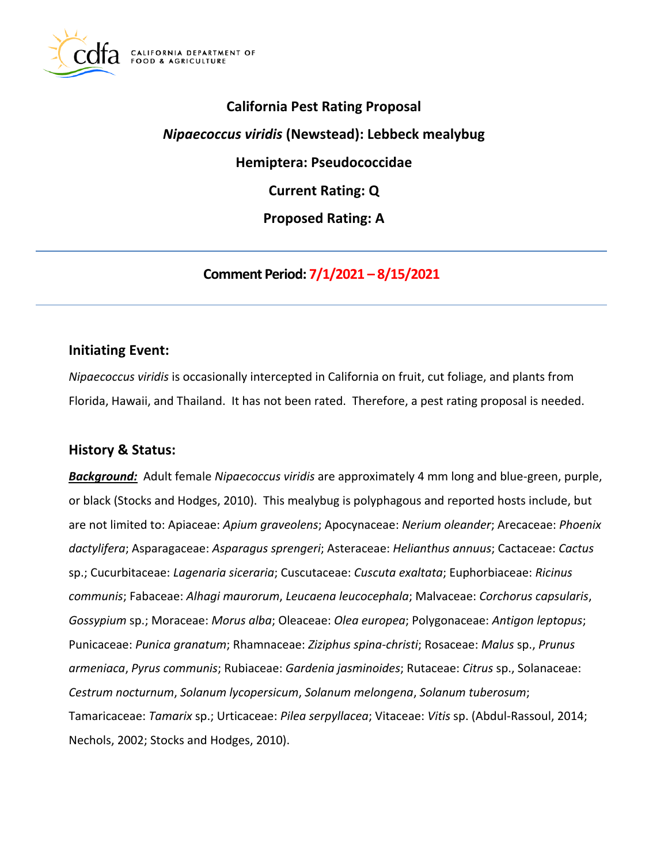

**California Pest Rating Proposal**  *Nipaecoccus viridis* **(Newstead): Lebbeck mealybug Hemiptera: Pseudococcidae Current Rating: Q Proposed Rating: A** 

**Comment Period: 7/1/2021 – 8/15/2021**

## **Initiating Event:**

*Nipaecoccus viridis* is occasionally intercepted in California on fruit, cut foliage, and plants from Florida, Hawaii, and Thailand. It has not been rated. Therefore, a pest rating proposal is needed.

## **History & Status:**

*Background:* Adult female *Nipaecoccus viridis* are approximately 4 mm long and blue-green, purple, or black (Stocks and Hodges, 2010). This mealybug is polyphagous and reported hosts include, but are not limited to: Apiaceae: *Apium graveolens*; Apocynaceae: *Nerium oleander*; Arecaceae: *Phoenix dactylifera*; Asparagaceae: *Asparagus sprengeri*; Asteraceae: *Helianthus annuus*; Cactaceae: *Cactus*  sp.; Cucurbitaceae: *Lagenaria siceraria*; Cuscutaceae: *Cuscuta exaltata*; Euphorbiaceae: *Ricinus communis*; Fabaceae: *Alhagi maurorum*, *Leucaena leucocephala*; Malvaceae: *Corchorus capsularis*, *Gossypium* sp.; Moraceae: *Morus alba*; Oleaceae: *Olea europea*; Polygonaceae: *Antigon leptopus*; Punicaceae: *Punica granatum*; Rhamnaceae: *Ziziphus spina-christi*; Rosaceae: *Malus* sp., *Prunus armeniaca*, *Pyrus communis*; Rubiaceae: *Gardenia jasminoides*; Rutaceae: *Citrus* sp., Solanaceae: *Cestrum nocturnum*, *Solanum lycopersicum*, *Solanum melongena*, *Solanum tuberosum*; Tamaricaceae: *Tamarix* sp.; Urticaceae: *Pilea serpyllacea*; Vitaceae: *Vitis* sp. (Abdul-Rassoul, 2014; Nechols, 2002; Stocks and Hodges, 2010).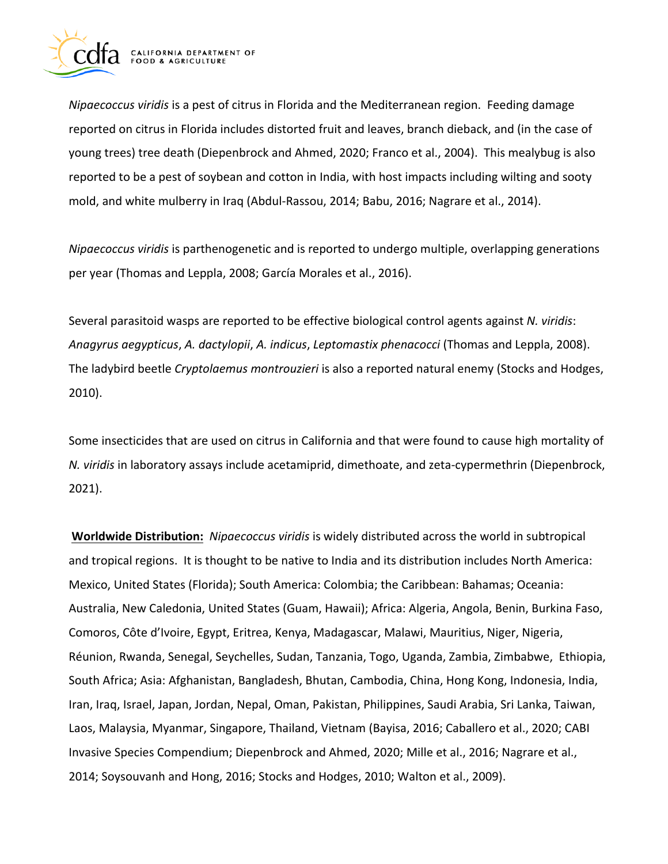

*Nipaecoccus viridis* is a pest of citrus in Florida and the Mediterranean region. Feeding damage reported on citrus in Florida includes distorted fruit and leaves, branch dieback, and (in the case of young trees) tree death (Diepenbrock and Ahmed, 2020; Franco et al., 2004). This mealybug is also reported to be a pest of soybean and cotton in India, with host impacts including wilting and sooty mold, and white mulberry in Iraq (Abdul-Rassou, 2014; Babu, 2016; Nagrare et al., 2014).

*Nipaecoccus viridis* is parthenogenetic and is reported to undergo multiple, overlapping generations per year (Thomas and Leppla, 2008; García Morales et al., 2016).

Several parasitoid wasps are reported to be effective biological control agents against *N. viridis*: *Anagyrus aegypticus*, *A. dactylopii*, *A. indicus*, *Leptomastix phenacocci* (Thomas and Leppla, 2008). The ladybird beetle *Cryptolaemus montrouzieri* is also a reported natural enemy (Stocks and Hodges, 2010).

Some insecticides that are used on citrus in California and that were found to cause high mortality of *N. viridis* in laboratory assays include acetamiprid, dimethoate, and zeta-cypermethrin (Diepenbrock, 2021).

**Worldwide Distribution:** *Nipaecoccus viridis* is widely distributed across the world in subtropical and tropical regions. It is thought to be native to India and its distribution includes North America: Mexico, United States (Florida); South America: Colombia; the Caribbean: Bahamas; Oceania: Australia, New Caledonia, United States (Guam, Hawaii); Africa: Algeria, Angola, Benin, Burkina Faso, Comoros, Côte d'Ivoire, Egypt, Eritrea, Kenya, Madagascar, Malawi, Mauritius, Niger, Nigeria, Réunion, Rwanda, Senegal, Seychelles, Sudan, Tanzania, Togo, Uganda, Zambia, Zimbabwe, Ethiopia, South Africa; Asia: Afghanistan, Bangladesh, Bhutan, Cambodia, China, Hong Kong, Indonesia, India, Iran, Iraq, Israel, Japan, Jordan, Nepal, Oman, Pakistan, Philippines, Saudi Arabia, Sri Lanka, Taiwan, Laos, Malaysia, Myanmar, Singapore, Thailand, Vietnam (Bayisa, 2016; Caballero et al., 2020; CABI Invasive Species Compendium; Diepenbrock and Ahmed, 2020; Mille et al., 2016; Nagrare et al., 2014; Soysouvanh and Hong, 2016; Stocks and Hodges, 2010; Walton et al., 2009).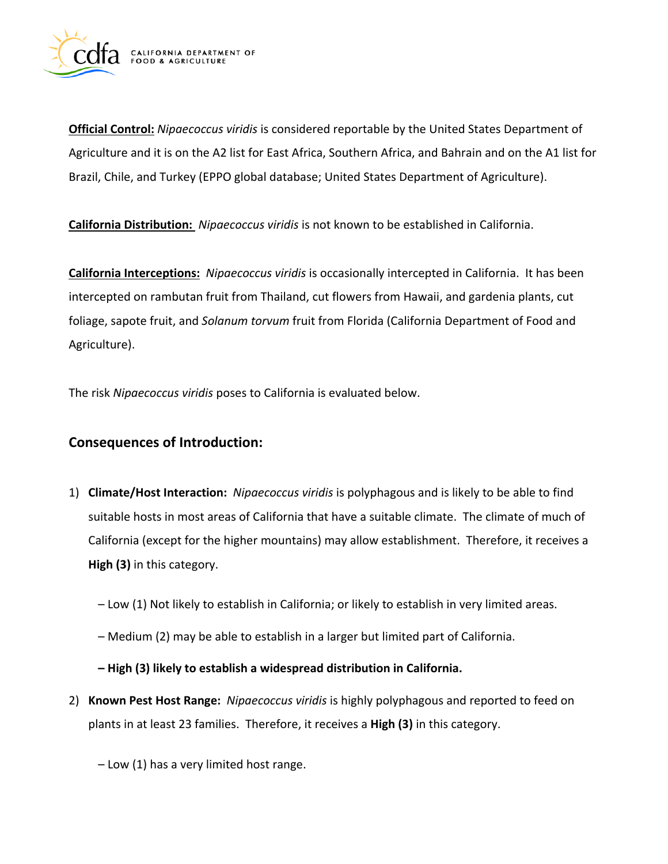

**Official Control:** *Nipaecoccus viridis* is considered reportable by the United States Department of Agriculture and it is on the A2 list for East Africa, Southern Africa, and Bahrain and on the A1 list for Brazil, Chile, and Turkey (EPPO global database; United States Department of Agriculture).

**California Distribution:** *Nipaecoccus viridis* is not known to be established in California.

**California Interceptions:** *Nipaecoccus viridis* is occasionally intercepted in California. It has been intercepted on rambutan fruit from Thailand, cut flowers from Hawaii, and gardenia plants, cut foliage, sapote fruit, and *Solanum torvum* fruit from Florida (California Department of Food and Agriculture).

The risk *Nipaecoccus viridis* poses to California is evaluated below.

# **Consequences of Introduction:**

- 1) **Climate/Host Interaction:** *Nipaecoccus viridis* is polyphagous and is likely to be able to find suitable hosts in most areas of California that have a suitable climate. The climate of much of California (except for the higher mountains) may allow establishment. Therefore, it receives a **High (3)** in this category.
	- Low (1) Not likely to establish in California; or likely to establish in very limited areas.
	- Medium (2) may be able to establish in a larger but limited part of California.

**– High (3) likely to establish a widespread distribution in California.** 

2) **Known Pest Host Range:** *Nipaecoccus viridis* is highly polyphagous and reported to feed on plants in at least 23 families. Therefore, it receives a **High (3)** in this category.

– Low (1) has a very limited host range.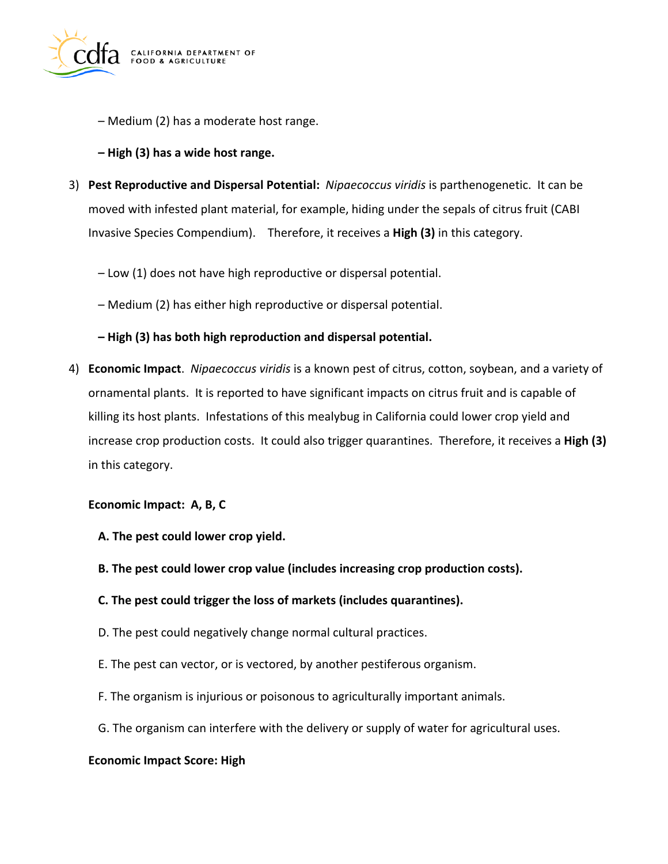

- Medium (2) has a moderate host range.
- **– High (3) has a wide host range.**
- 3) **Pest Reproductive and Dispersal Potential:** *Nipaecoccus viridis* is parthenogenetic. It can be moved with infested plant material, for example, hiding under the sepals of citrus fruit (CABI Invasive Species Compendium). Therefore, it receives a **High (3)** in this category.
	- Low (1) does not have high reproductive or dispersal potential.
	- Medium (2) has either high reproductive or dispersal potential.

### **– High (3) has both high reproduction and dispersal potential.**

4) **Economic Impact**. *Nipaecoccus viridis* is a known pest of citrus, cotton, soybean, and a variety of ornamental plants. It is reported to have significant impacts on citrus fruit and is capable of killing its host plants. Infestations of this mealybug in California could lower crop yield and increase crop production costs. It could also trigger quarantines. Therefore, it receives a **High (3)**  in this category.

### **Economic Impact: A, B, C**

- **A. The pest could lower crop yield.**
- **B. The pest could lower crop value (includes increasing crop production costs).**
- **C. The pest could trigger the loss of markets (includes quarantines).**
- D. The pest could negatively change normal cultural practices.
- E. The pest can vector, or is vectored, by another pestiferous organism.
- F. The organism is injurious or poisonous to agriculturally important animals.
- G. The organism can interfere with the delivery or supply of water for agricultural uses.

### **Economic Impact Score: High**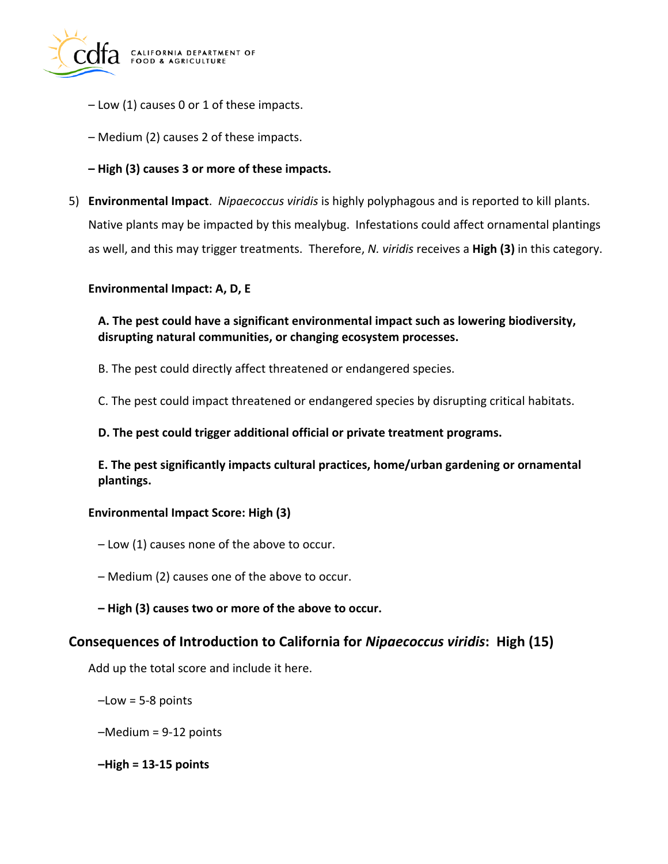

- Low (1) causes 0 or 1 of these impacts.
- Medium (2) causes 2 of these impacts.
- **– High (3) causes 3 or more of these impacts.**
- 5) **Environmental Impact**. *Nipaecoccus viridis* is highly polyphagous and is reported to kill plants. Native plants may be impacted by this mealybug. Infestations could affect ornamental plantings as well, and this may trigger treatments. Therefore, *N. viridis* receives a **High (3)** in this category.

#### **Environmental Impact: A, D, E**

**A. The pest could have a significant environmental impact such as lowering biodiversity, disrupting natural communities, or changing ecosystem processes.** 

B. The pest could directly affect threatened or endangered species.

C. The pest could impact threatened or endangered species by disrupting critical habitats.

**D. The pest could trigger additional official or private treatment programs.** 

**E. The pest significantly impacts cultural practices, home/urban gardening or ornamental plantings.** 

### **Environmental Impact Score: High (3)**

- Low (1) causes none of the above to occur.
- Medium (2) causes one of the above to occur.
- **– High (3) causes two or more of the above to occur.**

### **Consequences of Introduction to California for** *Nipaecoccus viridis***: High (15)**

Add up the total score and include it here.

- $-Low = 5-8$  points
- –Medium = 9-12 points
- **–High = 13-15 points**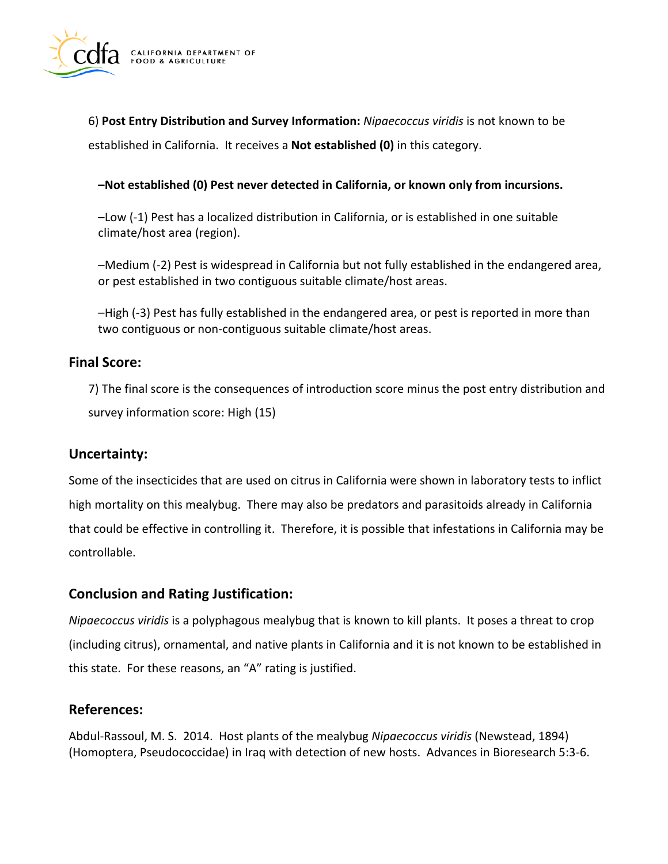

6) **Post Entry Distribution and Survey Information:** *Nipaecoccus viridis* is not known to be established in California. It receives a **Not established (0)** in this category.

### **–Not established (0) Pest never detected in California, or known only from incursions.**

–Low (-1) Pest has a localized distribution in California, or is established in one suitable climate/host area (region).

–Medium (-2) Pest is widespread in California but not fully established in the endangered area, or pest established in two contiguous suitable climate/host areas.

–High (-3) Pest has fully established in the endangered area, or pest is reported in more than two contiguous or non-contiguous suitable climate/host areas.

# **Final Score:**

7) The final score is the consequences of introduction score minus the post entry distribution and survey information score: High (15)

# **Uncertainty:**

Some of the insecticides that are used on citrus in California were shown in laboratory tests to inflict high mortality on this mealybug. There may also be predators and parasitoids already in California that could be effective in controlling it. Therefore, it is possible that infestations in California may be controllable.

# **Conclusion and Rating Justification:**

*Nipaecoccus viridis* is a polyphagous mealybug that is known to kill plants. It poses a threat to crop (including citrus), ornamental, and native plants in California and it is not known to be established in this state. For these reasons, an "A" rating is justified.

## **References:**

Abdul-Rassoul, M. S. 2014. Host plants of the mealybug *Nipaecoccus viridis* (Newstead, 1894) (Homoptera, Pseudococcidae) in Iraq with detection of new hosts. Advances in Bioresearch 5:3-6.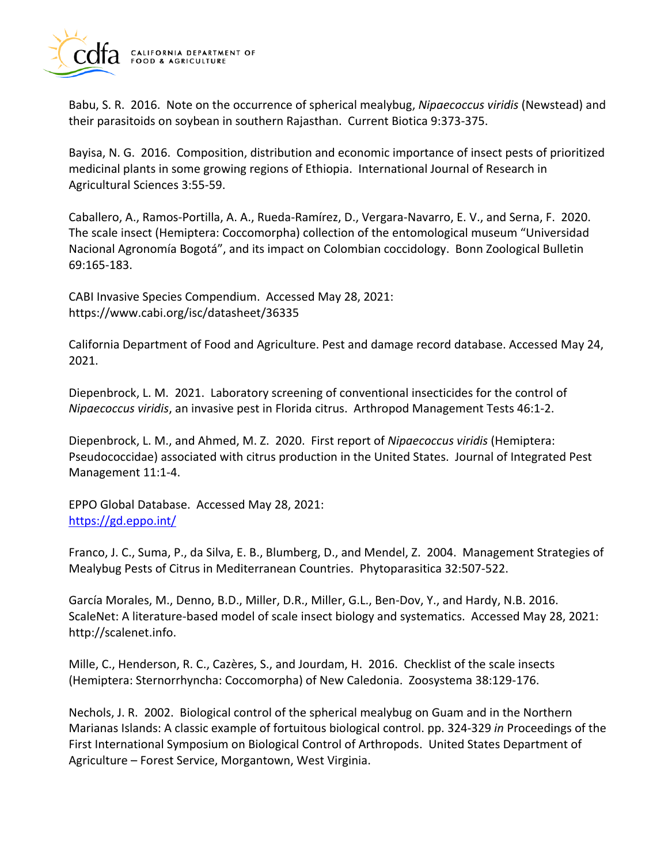

Babu, S. R. 2016. Note on the occurrence of spherical mealybug, *Nipaecoccus viridis* (Newstead) and their parasitoids on soybean in southern Rajasthan. Current Biotica 9:373-375.

Bayisa, N. G. 2016. Composition, distribution and economic importance of insect pests of prioritized medicinal plants in some growing regions of Ethiopia. International Journal of Research in Agricultural Sciences 3:55-59.

Caballero, A., Ramos-Portilla, A. A., Rueda-Ramírez, D., Vergara-Navarro, E. V., and Serna, F. 2020. The scale insect (Hemiptera: Coccomorpha) collection of the entomological museum "Universidad Nacional Agronomía Bogotá", and its impact on Colombian coccidology. Bonn Zoological Bulletin 69:165-183.

CABI Invasive Species Compendium. Accessed May 28, 2021: <https://www.cabi.org/isc/datasheet/36335>

California Department of Food and Agriculture. Pest and damage record database. Accessed May 24, 2021.

Diepenbrock, L. M. 2021. Laboratory screening of conventional insecticides for the control of *Nipaecoccus viridis*, an invasive pest in Florida citrus. Arthropod Management Tests 46:1-2.

Diepenbrock, L. M., and Ahmed, M. Z. 2020. First report of *Nipaecoccus viridis* (Hemiptera: Pseudococcidae) associated with citrus production in the United States. Journal of Integrated Pest Management 11:1-4.

EPPO Global Database. Accessed May 28, 2021: <https://gd.eppo.int/>

Franco, J. C., Suma, P., da Silva, E. B., Blumberg, D., and Mendel, Z. 2004. Management Strategies of Mealybug Pests of Citrus in Mediterranean Countries. Phytoparasitica 32:507-522.

García Morales, M., Denno, B.D., Miller, D.R., Miller, G.L., Ben-Dov, Y., and Hardy, N.B. 2016. ScaleNet: A literature-based model of scale insect biology and systematics. Accessed May 28, 2021: [http://scalenet.info.](http://scalenet.info)

Mille, C., Henderson, R. C., Cazères, S., and Jourdam, H. 2016. Checklist of the scale insects (Hemiptera: Sternorrhyncha: Coccomorpha) of New Caledonia. Zoosystema 38:129-176.

Nechols, J. R. 2002. Biological control of the spherical mealybug on Guam and in the Northern Marianas Islands: A classic example of fortuitous biological control. pp. 324-329 *in* Proceedings of the First International Symposium on Biological Control of Arthropods. United States Department of Agriculture – Forest Service, Morgantown, West Virginia.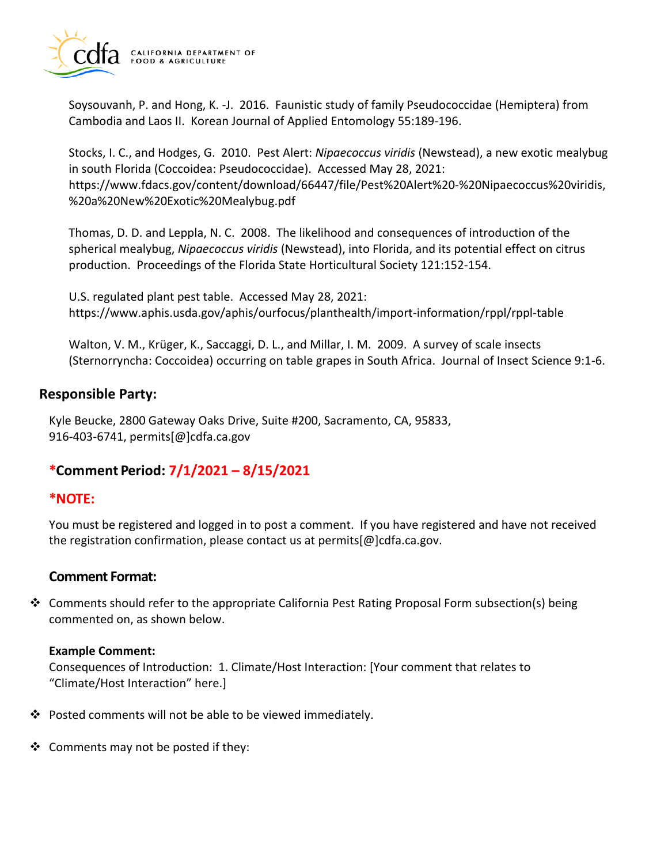

Soysouvanh, P. and Hong, K. -J. 2016. Faunistic study of family Pseudococcidae (Hemiptera) from Cambodia and Laos II. Korean Journal of Applied Entomology 55:189-196.

Stocks, I. C., and Hodges, G. 2010. Pest Alert: *Nipaecoccus viridis* (Newstead), a new exotic mealybug in south Florida (Coccoidea: Pseudococcidae). Accessed May 28, 2021: <https://www.fdacs.gov/content/download/66447/file/Pest%20Alert%20-%20Nipaecoccus%20viridis>, %20a%20New%20Exotic%20Mealybug.pdf

Thomas, D. D. and Leppla, N. C. 2008. The likelihood and consequences of introduction of the spherical mealybug, *Nipaecoccus viridis* (Newstead), into Florida, and its potential effect on citrus production. Proceedings of the Florida State Horticultural Society 121:152-154.

U.S. regulated plant pest table. Accessed May 28, 2021: <https://www.aphis.usda.gov/aphis/ourfocus/planthealth/import-information/rppl/rppl-table>

Walton, V. M., Krüger, K., Saccaggi, D. L., and Millar, I. M. 2009. A survey of scale insects (Sternorryncha: Coccoidea) occurring on table grapes in South Africa. Journal of Insect Science 9:1-6.

# **Responsible Party:**

Kyle Beucke, 2800 Gateway Oaks Drive, Suite #200, Sacramento, CA, 95833, 916-403-6741, [permits\[@\]cdfa.ca.gov](https://permits[@]cdfa.ca.gov) 

# **\*Comment Period: 7/1/2021 – 8/15/2021**

## **\*NOTE:**

You must be registered and logged in to post a comment. If you have registered and have not received the registration confirmation, please contact us at [permits\[@\]cdfa.ca.gov](https://permits[@]cdfa.ca.gov).

# **Comment Format:**

❖ Comments should refer to the appropriate California Pest Rating Proposal Form subsection(s) being commented on, as shown below.

### **Example Comment:**

Consequences of Introduction: 1. Climate/Host Interaction: [Your comment that relates to "Climate/Host Interaction" here.]

- ❖ Posted comments will not be able to be viewed immediately.
- ❖ Comments may not be posted if they: